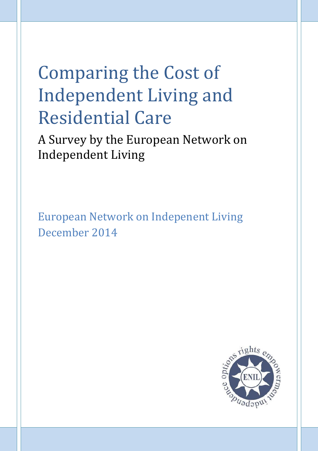# Comparing the Cost of Independent Living and Residential Care

A Survey by the European Network on Independent Living

European Network on Indepenent Living December 2014

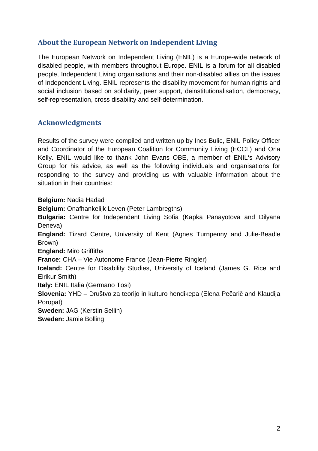## **About the European Network on Independent Living**

The European Network on Independent Living (ENIL) is a Europe-wide network of disabled people, with members throughout Europe. ENIL is a forum for all disabled people, Independent Living organisations and their non-disabled allies on the issues of Independent Living. ENIL represents the disability movement for human rights and social inclusion based on solidarity, peer support, deinstitutionalisation, democracy, self-representation, cross disability and self-determination.

## **Acknowledgments**

Results of the survey were compiled and written up by Ines Bulic, ENIL Policy Officer and Coordinator of the European Coalition for Community Living (ECCL) and Orla Kelly. ENIL would like to thank John Evans OBE, a member of ENIL's Advisory Group for his advice, as well as the following individuals and organisations for responding to the survey and providing us with valuable information about the situation in their countries:

**Belgium:** Nadia Hadad **Belgium:** Onafhankelijk Leven (Peter Lambregths) **Bulgaria:** Centre for Independent Living Sofia (Kapka Panayotova and Dilyana Deneva) **England:** Tizard Centre, University of Kent (Agnes Turnpenny and Julie-Beadle Brown) **England:** Miro Griffiths **France:** CHA – Vie Autonome France (Jean-Pierre Ringler) **Iceland:** Centre for Disability Studies, University of Iceland (James G. Rice and Eirikur Smith) **Italy:** ENIL Italia (Germano Tosi) **Slovenia:** YHD – Društvo za teorijo in kulturo hendikepa (Elena Pečarič and Klaudija Poropat) **Sweden:** JAG (Kerstin Sellin) **Sweden:** Jamie Bolling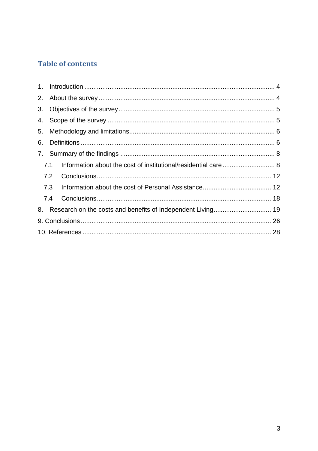# **Table of contents**

| 3. |     |                                                                |  |
|----|-----|----------------------------------------------------------------|--|
|    |     |                                                                |  |
| 5. |     |                                                                |  |
| 6. |     |                                                                |  |
|    |     |                                                                |  |
|    | 7.1 |                                                                |  |
|    | 7.2 |                                                                |  |
|    | 7.3 |                                                                |  |
|    | 7.4 |                                                                |  |
|    |     | 8. Research on the costs and benefits of Independent Living 19 |  |
|    |     |                                                                |  |
|    |     |                                                                |  |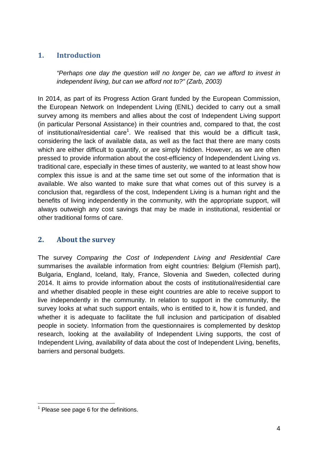# **1. Introduction**

*"Perhaps one day the question will no longer be, can we afford to invest in independent living, but can we afford not to?" (Zarb, 2003)*

In 2014, as part of its Progress Action Grant funded by the European Commission, the European Network on Independent Living (ENIL) decided to carry out a small survey among its members and allies about the cost of Independent Living support (in particular Personal Assistance) in their countries and, compared to that, the cost of institutional/residential care<sup>1</sup>. We realised that this would be a difficult task, considering the lack of available data, as well as the fact that there are many costs which are either difficult to quantify, or are simply hidden. However, as we are often pressed to provide information about the cost-efficiency of Independendent Living *vs*. traditional care, especially in these times of austerity, we wanted to at least show how complex this issue is and at the same time set out some of the information that is available. We also wanted to make sure that what comes out of this survey is a conclusion that, regardless of the cost, Independent Living is a human right and the benefits of living independently in the community, with the appropriate support, will always outweigh any cost savings that may be made in institutional, residential or other traditional forms of care.

# **2. About the survey**

The survey *Comparing the Cost of Independent Living and Residential Care* summarises the available information from eight countries: Belgium (Flemish part), Bulgaria, England, Iceland, Italy, France, Slovenia and Sweden, collected during 2014. It aims to provide information about the costs of institutional/residential care and whether disabled people in these eight countries are able to receive support to live independently in the community. In relation to support in the community, the survey looks at what such support entails, who is entitled to it, how it is funded, and whether it is adequate to facilitate the full inclusion and participation of disabled people in society. Information from the questionnaires is complemented by desktop research, looking at the availability of Independent Living supports, the cost of Independent Living, availability of data about the cost of Independent Living, benefits, barriers and personal budgets.

 $<sup>1</sup>$  Please see page 6 for the definitions.</sup>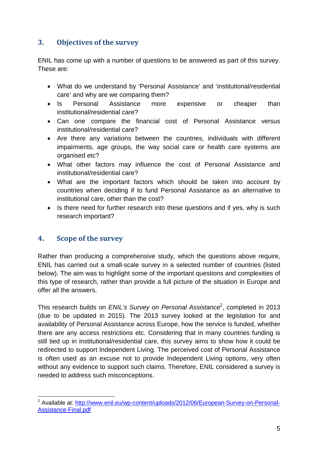# **3. Objectives of the survey**

ENIL has come up with a number of questions to be answered as part of this survey. These are:

- What do we understand by 'Personal Assistance' and 'institutional/residential care' and why are we comparing them?
- Is Personal Assistance more expensive or cheaper than institutional/residential care?
- Can one compare the financial cost of Personal Assistance versus institutional/residential care?
- Are there any variations between the countries, individuals with different impairments, age groups, the way social care or health care systems are organised etc?
- What other factors may influence the cost of Personal Assistance and institutional/residential care?
- What are the important factors which should be taken into account by countries when deciding if to fund Personal Assistance as an alternative to institutional care, other than the cost?
- Is there need for further research into these questions and if yes, why is such research important?

# **4. Scope of the survey**

Rather than producing a comprehensive study, which the questions above require, ENIL has carried out a small-scale survey in a selected number of countries (listed below). The aim was to highlight some of the important questions and complexities of this type of research, rather than provide a full picture of the situation in Europe and offer all the answers.

This research builds on *ENIL's Survey on Personal Assistance*<sup>2</sup> , completed in 2013 (due to be updated in 2015). The 2013 survey looked at the legislation for and availability of Personal Assistance across Europe, how the service is funded, whether there are any access restrictions etc. Considering that in many countries funding is still tied up in institutional/residential care, this survey aims to show how it could be redirected to support Independent Living. The perceived cost of Personal Assistance is often used as an excuse not to provide Independent Living options, very often without any evidence to support such claims. Therefore, ENIL considered a survey is needed to address such misconceptions.

<sup>&</sup>lt;sup>2</sup> Available at: http://www.enil.eu/wp-content/uploads/2012/06/European-Survey-on-Personal-Assistance-Final.pdf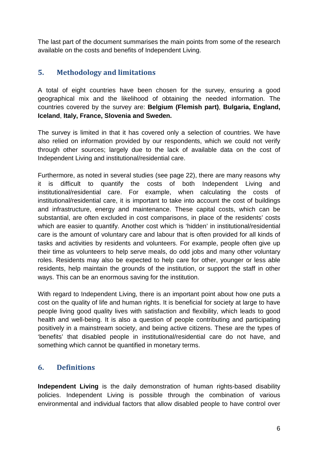The last part of the document summarises the main points from some of the research available on the costs and benefits of Independent Living.

# **5. Methodology and limitations**

A total of eight countries have been chosen for the survey, ensuring a good geographical mix and the likelihood of obtaining the needed information. The countries covered by the survey are: **Belgium (Flemish part)**, **Bulgaria, England, Iceland**, **Italy, France, Slovenia and Sweden.**

The survey is limited in that it has covered only a selection of countries. We have also relied on information provided by our respondents, which we could not verify through other sources; largely due to the lack of available data on the cost of Independent Living and institutional/residential care.

Furthermore, as noted in several studies (see page 22), there are many reasons why it is difficult to quantify the costs of both Independent Living and institutional/residential care. For example, when calculating the costs of institutional/residential care, it is important to take into account the cost of buildings and infrastructure, energy and maintenance. These capital costs, which can be substantial, are often excluded in cost comparisons, in place of the residents' costs which are easier to quantify. Another cost which is 'hidden' in institutional/residential care is the amount of voluntary care and labour that is often provided for all kinds of tasks and activities by residents and volunteers. For example, people often give up their time as volunteers to help serve meals, do odd jobs and many other voluntary roles. Residents may also be expected to help care for other, younger or less able residents, help maintain the grounds of the institution, or support the staff in other ways. This can be an enormous saving for the institution.

With regard to Independent Living, there is an important point about how one puts a cost on the quality of life and human rights. It is beneficial for society at large to have people living good quality lives with satisfaction and flexibility, which leads to good health and well-being. It is also a question of people contributing and participating positively in a mainstream society, and being active citizens. These are the types of 'benefits' that disabled people in institutional/residential care do not have, and something which cannot be quantified in monetary terms.

# **6. Definitions**

**Independent Living** is the daily demonstration of human rights-based disability policies. Independent Living is possible through the combination of various environmental and individual factors that allow disabled people to have control over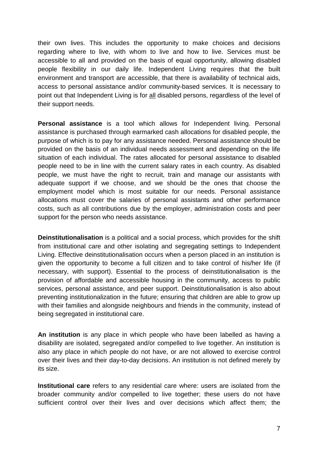their own lives. This includes the opportunity to make choices and decisions regarding where to live, with whom to live and how to live. Services must be accessible to all and provided on the basis of equal opportunity, allowing disabled people flexibility in our daily life. Independent Living requires that the built environment and transport are accessible, that there is availability of technical aids, access to personal assistance and/or community-based services. It is necessary to point out that Independent Living is for all disabled persons, regardless of the level of their support needs.

**Personal assistance** is a tool which allows for Independent living. Personal assistance is purchased through earmarked cash allocations for disabled people, the purpose of which is to pay for any assistance needed. Personal assistance should be provided on the basis of an individual needs assessment and depending on the life situation of each individual. The rates allocated for personal assistance to disabled people need to be in line with the current salary rates in each country. As disabled people, we must have the right to recruit, train and manage our assistants with adequate support if we choose, and we should be the ones that choose the employment model which is most suitable for our needs. Personal assistance allocations must cover the salaries of personal assistants and other performance costs, such as all contributions due by the employer, administration costs and peer support for the person who needs assistance.

**Deinstitutionalisation** is a political and a social process, which provides for the shift from institutional care and other isolating and segregating settings to Independent Living. Effective deinstitutionalisation occurs when a person placed in an institution is given the opportunity to become a full citizen and to take control of his/her life (if necessary, with support). Essential to the process of deinstitutionalisation is the provision of affordable and accessible housing in the community, access to public services, personal assistance, and peer support. Deinstitutionalisation is also about preventing institutionalization in the future; ensuring that children are able to grow up with their families and alongside neighbours and friends in the community, instead of being segregated in institutional care.

**An institution** is any place in which people who have been labelled as having a disability are isolated, segregated and/or compelled to live together. An institution is also any place in which people do not have, or are not allowed to exercise control over their lives and their day-to-day decisions. An institution is not defined merely by its size.

**Institutional care** refers to any residential care where: users are isolated from the broader community and/or compelled to live together; these users do not have sufficient control over their lives and over decisions which affect them; the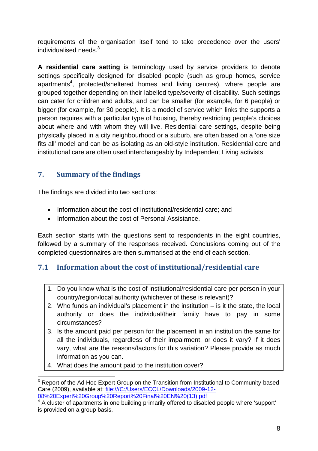requirements of the organisation itself tend to take precedence over the users' individualised needs.<sup>3</sup>

**A residential care setting** is terminology used by service providers to denote settings specifically designed for disabled people (such as group homes, service apartments<sup>4</sup>, protected/sheltered homes and living centres), where people are grouped together depending on their labelled type/severity of disability. Such settings can cater for children and adults, and can be smaller (for example, for 6 people) or bigger (for example, for 30 people). It is a model of service which links the supports a person requires with a particular type of housing, thereby restricting people's choices about where and with whom they will live. Residential care settings, despite being physically placed in a city neighbourhood or a suburb, are often based on a 'one size fits all' model and can be as isolating as an old-style institution. Residential care and institutional care are often used interchangeably by Independent Living activists.

# **7. Summary of the findings**

The findings are divided into two sections:

- Information about the cost of institutional/residential care; and
- Information about the cost of Personal Assistance.

Each section starts with the questions sent to respondents in the eight countries, followed by a summary of the responses received. Conclusions coming out of the completed questionnaires are then summarised at the end of each section.

# **7.1 Information about the cost of institutional/residential care**

- 1. Do you know what is the cost of institutional/residential care per person in your country/region/local authority (whichever of these is relevant)?
- 2. Who funds an individual's placement in the institution is it the state, the local authority or does the individual/their family have to pay in some circumstances?
- 3. Is the amount paid per person for the placement in an institution the same for all the individuals, regardless of their impairment, or does it vary? If it does vary, what are the reasons/factors for this variation? Please provide as much information as you can.
- 4. What does the amount paid to the institution cover?

<sup>&</sup>lt;sup>3</sup> Report of the Ad Hoc Expert Group on the Transition from Institutional to Community-based Care (2009), available at: file:///C:/Users/ECCL/Downloads/2009-12- 08%20Expert%20Group%20Report%20Final%20EN%20(13).pdf

 $4\overline{4}$  A cluster of apartments in one building primarily offered to disabled people where 'support' is provided on a group basis.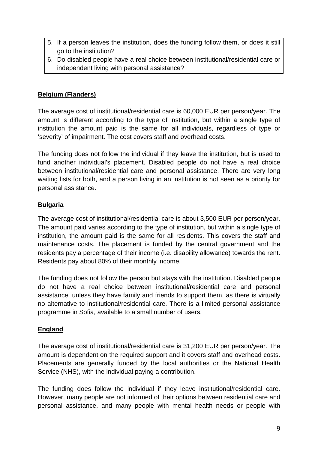- 5. If a person leaves the institution, does the funding follow them, or does it still go to the institution?
- 6. Do disabled people have a real choice between institutional/residential care or independent living with personal assistance?

## **Belgium (Flanders)**

The average cost of institutional/residential care is 60,000 EUR per person/year. The amount is different according to the type of institution, but within a single type of institution the amount paid is the same for all individuals, regardless of type or 'severity' of impairment. The cost covers staff and overhead costs.

The funding does not follow the individual if they leave the institution, but is used to fund another individual's placement. Disabled people do not have a real choice between institutional/residential care and personal assistance. There are very long waiting lists for both, and a person living in an institution is not seen as a priority for personal assistance.

#### **Bulgaria**

The average cost of institutional/residential care is about 3,500 EUR per person/year. The amount paid varies according to the type of institution, but within a single type of institution, the amount paid is the same for all residents. This covers the staff and maintenance costs. The placement is funded by the central government and the residents pay a percentage of their income (i.e. disability allowance) towards the rent. Residents pay about 80% of their monthly income.

The funding does not follow the person but stays with the institution. Disabled people do not have a real choice between institutional/residential care and personal assistance, unless they have family and friends to support them, as there is virtually no alternative to institutional/residential care. There is a limited personal assistance programme in Sofia, available to a small number of users.

#### **England**

The average cost of institutional/residential care is 31,200 EUR per person/year. The amount is dependent on the required support and it covers staff and overhead costs. Placements are generally funded by the local authorities or the National Health Service (NHS), with the individual paying a contribution.

The funding does follow the individual if they leave institutional/residential care. However, many people are not informed of their options between residential care and personal assistance, and many people with mental health needs or people with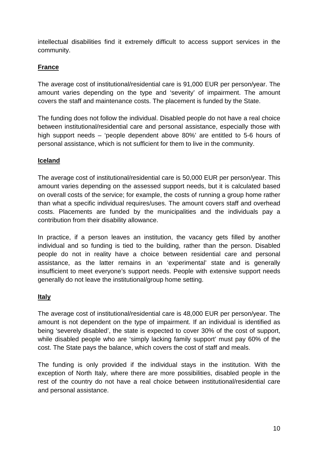intellectual disabilities find it extremely difficult to access support services in the community.

#### **France**

The average cost of institutional/residential care is 91,000 EUR per person/year. The amount varies depending on the type and 'severity' of impairment. The amount covers the staff and maintenance costs. The placement is funded by the State.

The funding does not follow the individual. Disabled people do not have a real choice between institutional/residential care and personal assistance, especially those with high support needs – 'people dependent above 80%' are entitled to 5-6 hours of personal assistance, which is not sufficient for them to live in the community.

## **Iceland**

The average cost of institutional/residential care is 50,000 EUR per person/year. This amount varies depending on the assessed support needs, but it is calculated based on overall costs of the service; for example, the costs of running a group home rather than what a specific individual requires/uses. The amount covers staff and overhead costs. Placements are funded by the municipalities and the individuals pay a contribution from their disability allowance.

In practice, if a person leaves an institution, the vacancy gets filled by another individual and so funding is tied to the building, rather than the person. Disabled people do not in reality have a choice between residential care and personal assistance, as the latter remains in an 'experimental' state and is generally insufficient to meet everyone's support needs. People with extensive support needs generally do not leave the institutional/group home setting.

#### **Italy**

The average cost of institutional/residential care is 48,000 EUR per person/year. The amount is not dependent on the type of impairment. If an individual is identified as being 'severely disabled', the state is expected to cover 30% of the cost of support, while disabled people who are 'simply lacking family support' must pay 60% of the cost. The State pays the balance, which covers the cost of staff and meals.

The funding is only provided if the individual stays in the institution. With the exception of North Italy, where there are more possibilities, disabled people in the rest of the country do not have a real choice between institutional/residential care and personal assistance.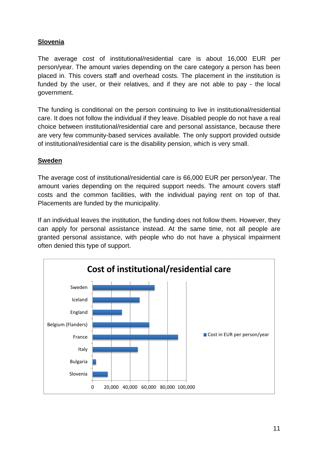#### **Slovenia**

The average cost of institutional/residential care is about 16,000 EUR per person/year. The amount varies depending on the care category a person has been placed in. This covers staff and overhead costs. The placement in the institution is person/year. The amount varies depending on the care category a person has been<br>placed in. This covers staff and overhead costs. The placement in the institution is<br>funded by the user, or their relatives, and if they are n government.

The funding is conditional on the person continuing to live in institutional/residential care. It does not follow the individual if they leave. Disabled people do not have a real choice between institutional/residential care and personal assistance, because there are very few community-based services available. The only support provided outside of institutional/residential care is the disability pension, which is very small.

#### **Sweden**

of institutional/residential care is the disability pension, which is very small.<br><mark>Sweden</mark><br>The average cost of institutional/residential care is 66,000 EUR per person/year. The amount varies depending on the required support needs. The amount covers staff amount varies depending on the required support needs. The amount covers staff<br>costs and the common facilities, with the individual paying rent on top of that. Placements are funded by the municipality.

If an individual leaves the institution, the funding does not follow them. However, they can apply for personal assistance instead. At the same time, not all people are granted personal assistance, with people who do not have a physical impairment often denied this type of support.

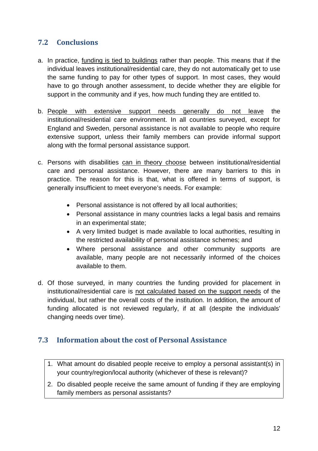# **7.2 Conclusions**

- a. In practice, funding is tied to buildings rather than people. This means that if the individual leaves institutional/residential care, they do not automatically get to use the same funding to pay for other types of support. In most cases, they would have to go through another assessment, to decide whether they are eligible for support in the community and if yes, how much funding they are entitled to.
- b. People with extensive support needs generally do not leave the institutional/residential care environment. In all countries surveyed, except for England and Sweden, personal assistance is not available to people who require extensive support, unless their family members can provide informal support along with the formal personal assistance support.
- c. Persons with disabilities can in theory choose between institutional/residential care and personal assistance. However, there are many barriers to this in practice. The reason for this is that, what is offered in terms of support, is generally insufficient to meet everyone's needs. For example:
	- Personal assistance is not offered by all local authorities;
	- Personal assistance in many countries lacks a legal basis and remains in an experimental state;
	- A very limited budget is made available to local authorities, resulting in the restricted availability of personal assistance schemes; and
	- Where personal assistance and other community supports are available, many people are not necessarily informed of the choices available to them.
- d. Of those surveyed, in many countries the funding provided for placement in institutional/residential care is not calculated based on the support needs of the individual, but rather the overall costs of the institution. In addition, the amount of funding allocated is not reviewed regularly, if at all (despite the individuals' changing needs over time).

# **7.3 Information about the cost of Personal Assistance**

- 1. What amount do disabled people receive to employ a personal assistant(s) in your country/region/local authority (whichever of these is relevant)?
- 2. Do disabled people receive the same amount of funding if they are employing family members as personal assistants?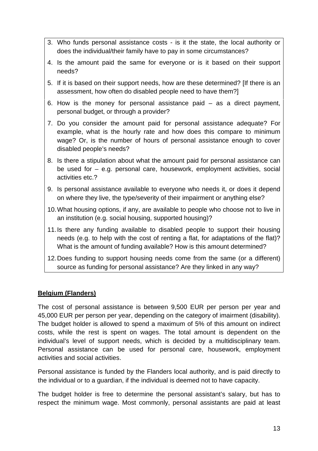- 3. Who funds personal assistance costs is it the state, the local authority or does the individual/their family have to pay in some circumstances?
- 4. Is the amount paid the same for everyone or is it based on their support needs?
- 5. If it is based on their support needs, how are these determined? [If there is an assessment, how often do disabled people need to have them?]
- 6. How is the money for personal assistance paid as a direct payment, personal budget, or through a provider?
- 7. Do you consider the amount paid for personal assistance adequate? For example, what is the hourly rate and how does this compare to minimum wage? Or, is the number of hours of personal assistance enough to cover disabled people's needs?
- 8. Is there a stipulation about what the amount paid for personal assistance can be used for – e.g. personal care, housework, employment activities, social activities etc.?
- 9. Is personal assistance available to everyone who needs it, or does it depend on where they live, the type/severity of their impairment or anything else?
- 10.What housing options, if any, are available to people who choose not to live in an institution (e.g. social housing, supported housing)?
- 11.Is there any funding available to disabled people to support their housing needs (e.g. to help with the cost of renting a flat, for adaptations of the flat)? What is the amount of funding available? How is this amount determined?
- 12.Does funding to support housing needs come from the same (or a different) source as funding for personal assistance? Are they linked in any way?

#### **Belgium (Flanders)**

The cost of personal assistance is between 9,500 EUR per person per year and 45,000 EUR per person per year, depending on the category of imairment (disability). The budget holder is allowed to spend a maximum of 5% of this amount on indirect costs, while the rest is spent on wages. The total amount is dependent on the individual's level of support needs, which is decided by a multidisciplinary team. Personal assistance can be used for personal care, housework, employment activities and social activities.

Personal assistance is funded by the Flanders local authority, and is paid directly to the individual or to a guardian, if the individual is deemed not to have capacity.

The budget holder is free to determine the personal assistant's salary, but has to respect the minimum wage. Most commonly, personal assistants are paid at least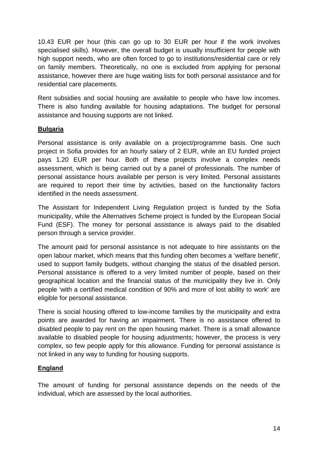10.43 EUR per hour (this can go up to 30 EUR per hour if the work involves specialised skills). However, the overall budget is usually insufficient for people with high support needs, who are often forced to go to institutions/residential care or rely on family members. Theoretically, no one is excluded from applying for personal assistance, however there are huge waiting lists for both personal assistance and for residential care placements.

Rent subsidies and social housing are available to people who have low incomes. There is also funding available for housing adaptations. The budget for personal assistance and housing supports are not linked.

#### **Bulgaria**

Personal assistance is only available on a project/programme basis. One such project in Sofia provides for an hourly salary of 2 EUR, while an EU funded project pays 1.20 EUR per hour. Both of these projects involve a complex needs assessment, which is being carried out by a panel of professionals. The number of personal assistance hours available per person is very limited. Personal assistants are required to report their time by activities, based on the functionality factors identified in the needs assessment.

The Assistant for Independent Living Regulation project is funded by the Sofia municipality, while the Alternatives Scheme project is funded by the European Social Fund (ESF). The money for personal assistance is always paid to the disabled person through a service provider.

The amount paid for personal assistance is not adequate to hire assistants on the open labour market, which means that this funding often becomes a 'welfare benefit', used to support family budgets, without changing the status of the disabled person. Personal assistance is offered to a very limited number of people, based on their geographical location and the financial status of the municipality they live in. Only people 'with a certified medical condition of 90% and more of lost ability to work' are eligible for personal assistance.

There is social housing offered to low-income families by the municipality and extra points are awarded for having an impairment. There is no assistance offered to disabled people to pay rent on the open housing market. There is a small allowance available to disabled people for housing adjustments; however, the process is very complex, so few people apply for this allowance. Funding for personal assistance is not linked in any way to funding for housing supports.

#### **England**

The amount of funding for personal assistance depends on the needs of the individual, which are assessed by the local authorities.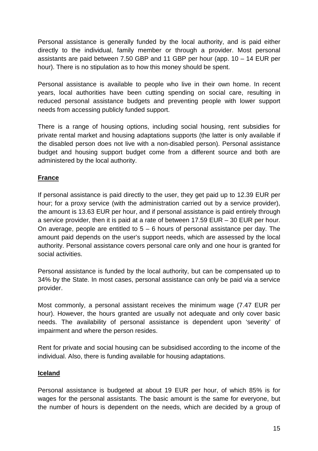Personal assistance is generally funded by the local authority, and is paid either directly to the individual, family member or through a provider. Most personal assistants are paid between 7.50 GBP and 11 GBP per hour (app. 10 – 14 EUR per hour). There is no stipulation as to how this money should be spent.

Personal assistance is available to people who live in their own home. In recent years, local authorities have been cutting spending on social care, resulting in reduced personal assistance budgets and preventing people with lower support needs from accessing publicly funded support.

There is a range of housing options, including social housing, rent subsidies for private rental market and housing adaptations supports (the latter is only available if the disabled person does not live with a non-disabled person). Personal assistance budget and housing support budget come from a different source and both are administered by the local authority.

#### **France**

If personal assistance is paid directly to the user, they get paid up to 12.39 EUR per hour; for a proxy service (with the administration carried out by a service provider), the amount is 13.63 EUR per hour, and if personal assistance is paid entirely through a service provider, then it is paid at a rate of between 17.59 EUR – 30 EUR per hour. On average, people are entitled to  $5 - 6$  hours of personal assistance per day. The amount paid depends on the user's support needs, which are assessed by the local authority. Personal assistance covers personal care only and one hour is granted for social activities.

Personal assistance is funded by the local authority, but can be compensated up to 34% by the State. In most cases, personal assistance can only be paid via a service provider.

Most commonly, a personal assistant receives the minimum wage (7.47 EUR per hour). However, the hours granted are usually not adequate and only cover basic needs. The availability of personal assistance is dependent upon 'severity' of impairment and where the person resides.

Rent for private and social housing can be subsidised according to the income of the individual. Also, there is funding available for housing adaptations.

#### **Iceland**

Personal assistance is budgeted at about 19 EUR per hour, of which 85% is for wages for the personal assistants. The basic amount is the same for everyone, but the number of hours is dependent on the needs, which are decided by a group of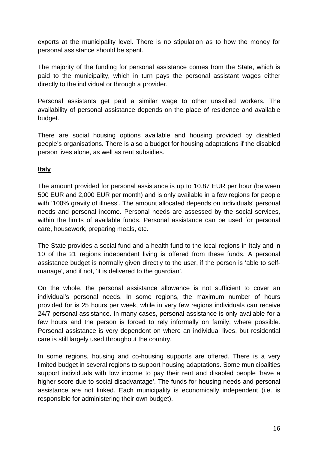experts at the municipality level. There is no stipulation as to how the money for personal assistance should be spent.

The majority of the funding for personal assistance comes from the State, which is paid to the municipality, which in turn pays the personal assistant wages either directly to the individual or through a provider.

Personal assistants get paid a similar wage to other unskilled workers. The availability of personal assistance depends on the place of residence and available budget.

There are social housing options available and housing provided by disabled people's organisations. There is also a budget for housing adaptations if the disabled person lives alone, as well as rent subsidies.

#### **Italy**

The amount provided for personal assistance is up to 10.87 EUR per hour (between 500 EUR and 2,000 EUR per month) and is only available in a few regions for people with '100% gravity of illness'. The amount allocated depends on individuals' personal needs and personal income. Personal needs are assessed by the social services, within the limits of available funds. Personal assistance can be used for personal care, housework, preparing meals, etc.

The State provides a social fund and a health fund to the local regions in Italy and in 10 of the 21 regions independent living is offered from these funds. A personal assistance budget is normally given directly to the user, if the person is 'able to selfmanage', and if not, 'it is delivered to the guardian'.

On the whole, the personal assistance allowance is not sufficient to cover an individual's personal needs. In some regions, the maximum number of hours provided for is 25 hours per week, while in very few regions individuals can receive 24/7 personal assistance. In many cases, personal assistance is only available for a few hours and the person is forced to rely informally on family, where possible. Personal assistance is very dependent on where an individual lives, but residential care is still largely used throughout the country.

In some regions, housing and co-housing supports are offered. There is a very limited budget in several regions to support housing adaptations. Some municipalities support individuals with low income to pay their rent and disabled people 'have a higher score due to social disadvantage'. The funds for housing needs and personal assistance are not linked. Each municipality is economically independent (i.e. is responsible for administering their own budget).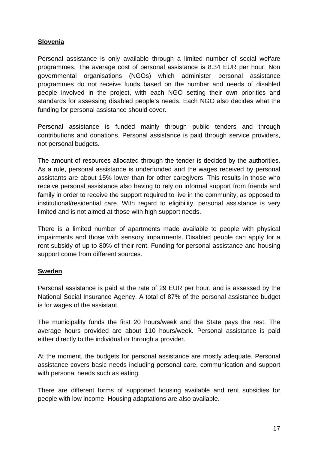#### **Slovenia**

Personal assistance is only available through a limited number of social welfare programmes. The average cost of personal assistance is 8.34 EUR per hour. Non governmental organisations (NGOs) which administer personal assistance programmes do not receive funds based on the number and needs of disabled people involved in the project, with each NGO setting their own priorities and standards for assessing disabled people's needs. Each NGO also decides what the funding for personal assistance should cover.

Personal assistance is funded mainly through public tenders and through contributions and donations. Personal assistance is paid through service providers, not personal budgets.

The amount of resources allocated through the tender is decided by the authorities. As a rule, personal assistance is underfunded and the wages received by personal assistants are about 15% lower than for other caregivers. This results in those who receive personal assistance also having to rely on informal support from friends and family in order to receive the support required to live in the community, as opposed to institutional/residential care. With regard to eligibility, personal assistance is very limited and is not aimed at those with high support needs.

There is a limited number of apartments made available to people with physical impairments and those with sensory impairments. Disabled people can apply for a rent subsidy of up to 80% of their rent. Funding for personal assistance and housing support come from different sources.

#### **Sweden**

Personal assistance is paid at the rate of 29 EUR per hour, and is assessed by the National Social Insurance Agency. A total of 87% of the personal assistance budget is for wages of the assistant.

The municipality funds the first 20 hours/week and the State pays the rest. The average hours provided are about 110 hours/week. Personal assistance is paid either directly to the individual or through a provider.

At the moment, the budgets for personal assistance are mostly adequate. Personal assistance covers basic needs including personal care, communication and support with personal needs such as eating.

There are different forms of supported housing available and rent subsidies for people with low income. Housing adaptations are also available.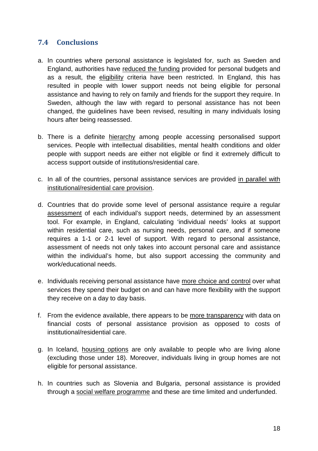# **7.4 Conclusions**

- a. In countries where personal assistance is legislated for, such as Sweden and England, authorities have reduced the funding provided for personal budgets and as a result, the eligibility criteria have been restricted. In England, this has resulted in people with lower support needs not being eligible for personal assistance and having to rely on family and friends for the support they require. In Sweden, although the law with regard to personal assistance has not been changed, the guidelines have been revised, resulting in many individuals losing hours after being reassessed.
- b. There is a definite hierarchy among people accessing personalised support services. People with intellectual disabilities, mental health conditions and older people with support needs are either not eligible or find it extremely difficult to access support outside of institutions/residential care.
- c. In all of the countries, personal assistance services are provided in parallel with institutional/residential care provision.
- d. Countries that do provide some level of personal assistance require a regular assessment of each individual's support needs, determined by an assessment tool. For example, in England, calculating 'individual needs' looks at support within residential care, such as nursing needs, personal care, and if someone requires a 1-1 or 2-1 level of support. With regard to personal assistance, assessment of needs not only takes into account personal care and assistance within the individual's home, but also support accessing the community and work/educational needs.
- e. Individuals receiving personal assistance have more choice and control over what services they spend their budget on and can have more flexibility with the support they receive on a day to day basis.
- f. From the evidence available, there appears to be more transparency with data on financial costs of personal assistance provision as opposed to costs of institutional/residential care.
- g. In Iceland, housing options are only available to people who are living alone (excluding those under 18). Moreover, individuals living in group homes are not eligible for personal assistance.
- h. In countries such as Slovenia and Bulgaria, personal assistance is provided through a social welfare programme and these are time limited and underfunded.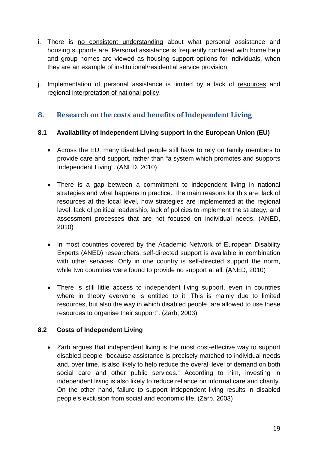- i. There is no consistent understanding about what personal assistance and housing supports are. Personal assistance is frequently confused with home help and group homes are viewed as housing support options for individuals, when they are an example of institutional/residential service provision.
- j. Implementation of personal assistance is limited by a lack of resources and regional interpretation of national policy.

# **8. Research on the costs and benefits of Independent Living**

#### **8.1 Availability of Independent Living support in the European Union (EU)**

- Across the EU, many disabled people still have to rely on family members to provide care and support, rather than "a system which promotes and supports Independent Living". (ANED, 2010)
- There is a gap between a commitment to independent living in national strategies and what happens in practice. The main reasons for this are: lack of resources at the local level, how strategies are implemented at the regional level, lack of political leadership, lack of policies to implement the strategy, and assessment processes that are not focused on individual needs. (ANED, 2010)
- In most countries covered by the Academic Network of European Disability Experts (ANED) researchers, self-directed support is available in combination with other services. Only in one country is self-directed support the norm, while two countries were found to provide no support at all. (ANED, 2010)
- There is still little access to independent living support, even in countries where in theory everyone is entitled to it. This is mainly due to limited resources, but also the way in which disabled people "are allowed to use these resources to organise their support". (Zarb, 2003)

#### **8.2 Costs of Independent Living**

 Zarb argues that independent living is the most cost-effective way to support disabled people "because assistance is precisely matched to individual needs and, over time, is also likely to help reduce the overall level of demand on both social care and other public services." According to him, investing in independent living is also likely to reduce reliance on informal care and charity. On the other hand, failure to support independent living results in disabled people's exclusion from social and economic life. (Zarb, 2003)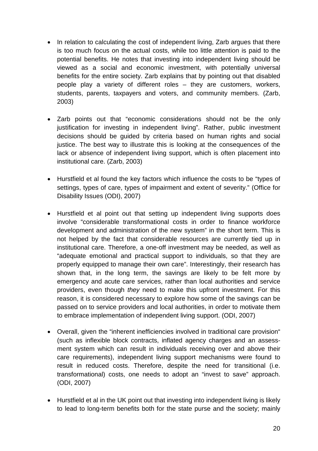- In relation to calculating the cost of independent living, Zarb argues that there is too much focus on the actual costs, while too little attention is paid to the potential benefits. He notes that investing into independent living should be viewed as a social and economic investment, with potentially universal benefits for the entire society. Zarb explains that by pointing out that disabled people play a variety of different roles – they are customers, workers, students, parents, taxpayers and voters, and community members. (Zarb, 2003)
- Zarb points out that "economic considerations should not be the only justification for investing in independent living". Rather, public investment decisions should be guided by criteria based on human rights and social justice. The best way to illustrate this is looking at the consequences of the lack or absence of independent living support, which is often placement into institutional care. (Zarb, 2003)
- Hurstfield et al found the key factors which influence the costs to be "types of settings, types of care, types of impairment and extent of severity." (Office for Disability Issues (ODI), 2007)
- Hurstfield et al point out that setting up independent living supports does involve "considerable transformational costs in order to finance workforce development and administration of the new system" in the short term. This is not helped by the fact that considerable resources are currently tied up in institutional care. Therefore, a one-off investment may be needed, as well as "adequate emotional and practical support to individuals, so that they are properly equipped to manage their own care". Interestingly, their research has shown that, in the long term, the savings are likely to be felt more by emergency and acute care services, rather than local authorities and service providers, even though *they* need to make this upfront investment. For this reason, it is considered necessary to explore how some of the savings can be passed on to service providers and local authorities, in order to motivate them to embrace implementation of independent living support. (ODI, 2007)
- Overall, given the "inherent inefficiencies involved in traditional care provision" (such as inflexible block contracts, inflated agency charges and an assessment system which can result in individuals receiving over and above their care requirements), independent living support mechanisms were found to result in reduced costs. Therefore, despite the need for transitional (i.e. transformational) costs, one needs to adopt an "invest to save" approach. (ODI, 2007)
- Hurstfield et al in the UK point out that investing into independent living is likely to lead to long-term benefits both for the state purse and the society; mainly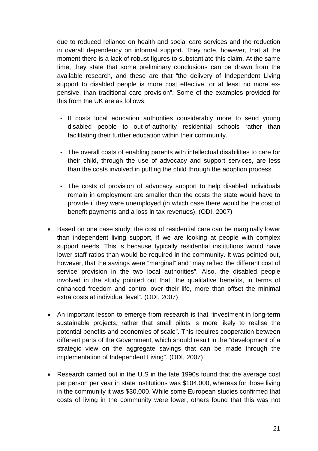due to reduced reliance on health and social care services and the reduction in overall dependency on informal support. They note, however, that at the moment there is a lack of robust figures to substantiate this claim. At the same time, they state that some preliminary conclusions can be drawn from the available research, and these are that "the delivery of Independent Living support to disabled people is more cost effective, or at least no more expensive, than traditional care provision". Some of the examples provided for this from the UK are as follows:

- It costs local education authorities considerably more to send young disabled people to out-of-authority residential schools rather than facilitating their further education within their community.
- The overall costs of enabling parents with intellectual disabilities to care for their child, through the use of advocacy and support services, are less than the costs involved in putting the child through the adoption process.
- The costs of provision of advocacy support to help disabled individuals remain in employment are smaller than the costs the state would have to provide if they were unemployed (in which case there would be the cost of benefit payments and a loss in tax revenues). (ODI, 2007)
- Based on one case study, the cost of residential care can be marginally lower than independent living support, if we are looking at people with complex support needs. This is because typically residential institutions would have lower staff ratios than would be required in the community. It was pointed out, however, that the savings were "marginal" and "may reflect the different cost of service provision in the two local authorities". Also, the disabled people involved in the study pointed out that "the qualitative benefits, in terms of enhanced freedom and control over their life, more than offset the minimal extra costs at individual level". (ODI, 2007)
- An important lesson to emerge from research is that "investment in long-term sustainable projects, rather that small pilots is more likely to realise the potential benefits and economies of scale". This requires cooperation between different parts of the Government, which should result in the "development of a strategic view on the aggregate savings that can be made through the implementation of Independent Living". (ODI, 2007)
- Research carried out in the U.S in the late 1990s found that the average cost per person per year in state institutions was \$104,000, whereas for those living in the community it was \$30,000. While some European studies confirmed that costs of living in the community were lower, others found that this was not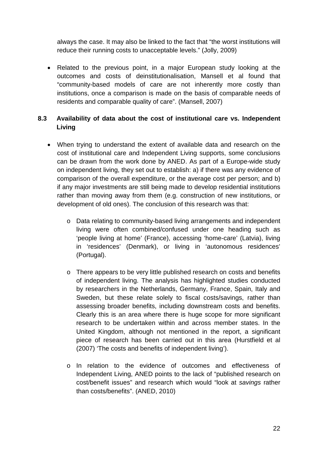always the case. It may also be linked to the fact that "the worst institutions will reduce their running costs to unacceptable levels." (Jolly, 2009)

• Related to the previous point, in a major European study looking at the outcomes and costs of deinstitutionalisation, Mansell et al found that "community-based models of care are not inherently more costly than institutions, once a comparison is made on the basis of comparable needs of residents and comparable quality of care". (Mansell, 2007)

#### **8.3 Availability of data about the cost of institutional care vs. Independent Living**

- When trying to understand the extent of available data and research on the cost of institutional care and Independent Living supports, some conclusions can be drawn from the work done by ANED. As part of a Europe-wide study on independent living, they set out to establish: a) if there was any evidence of comparison of the overall expenditure, or the average cost per person; and b) if any major investments are still being made to develop residential institutions rather than moving away from them (e.g. construction of new institutions, or development of old ones). The conclusion of this research was that:
	- o Data relating to community-based living arrangements and independent living were often combined/confused under one heading such as 'people living at home' (France), accessing 'home-care' (Latvia), living in 'residences' (Denmark), or living in 'autonomous residences' (Portugal).
	- o There appears to be very little published research on costs and benefits of independent living. The analysis has highlighted studies conducted by researchers in the Netherlands, Germany, France, Spain, Italy and Sweden, but these relate solely to fiscal costs/savings, rather than assessing broader benefits, including downstream costs and benefits. Clearly this is an area where there is huge scope for more significant research to be undertaken within and across member states. In the United Kingdom, although not mentioned in the report, a significant piece of research has been carried out in this area (Hurstfield et al (2007) 'The costs and benefits of independent living').
	- o In relation to the evidence of outcomes and effectiveness of Independent Living, ANED points to the lack of "published research on cost/benefit issues" and research which would "look at *savings* rather than costs/benefits". (ANED, 2010)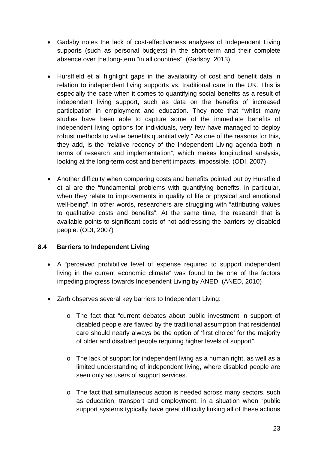- Gadsby notes the lack of cost-effectiveness analyses of Independent Living supports (such as personal budgets) in the short-term and their complete absence over the long-term "in all countries". (Gadsby, 2013)
- Hurstfield et al highlight gaps in the availability of cost and benefit data in relation to independent living supports vs. traditional care in the UK. This is especially the case when it comes to quantifying social benefits as a result of independent living support, such as data on the benefits of increased participation in employment and education. They note that "whilst many studies have been able to capture some of the immediate benefits of independent living options for individuals, very few have managed to deploy robust methods to value benefits quantitatively." As one of the reasons for this, they add, is the "relative recency of the Independent Living agenda both in terms of research and implementation", which makes longitudinal analysis, looking at the long-term cost and benefit impacts, impossible. (ODI, 2007)
- Another difficulty when comparing costs and benefits pointed out by Hurstfield et al are the "fundamental problems with quantifying benefits, in particular, when they relate to improvements in quality of life or physical and emotional well-being". In other words, researchers are struggling with "attributing values to qualitative costs and benefits". At the same time, the research that is available points to significant costs of not addressing the barriers by disabled people. (ODI, 2007)

#### **8.4 Barriers to Independent Living**

- A "perceived prohibitive level of expense required to support independent living in the current economic climate" was found to be one of the factors impeding progress towards Independent Living by ANED. (ANED, 2010)
- Zarb observes several key barriers to Independent Living:
	- o The fact that "current debates about public investment in support of disabled people are flawed by the traditional assumption that residential care should nearly always be the option of 'first choice' for the majority of older and disabled people requiring higher levels of support".
	- o The lack of support for independent living as a human right, as well as a limited understanding of independent living, where disabled people are seen only as users of support services.
	- o The fact that simultaneous action is needed across many sectors, such as education, transport and employment, in a situation when "public support systems typically have great difficulty linking all of these actions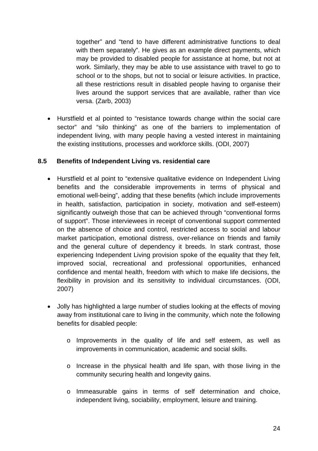together" and "tend to have different administrative functions to deal with them separately". He gives as an example direct payments, which may be provided to disabled people for assistance at home, but not at work. Similarly, they may be able to use assistance with travel to go to school or to the shops, but not to social or leisure activities. In practice, all these restrictions result in disabled people having to organise their lives around the support services that are available, rather than vice versa. (Zarb, 2003)

 Hurstfield et al pointed to "resistance towards change within the social care sector" and "silo thinking" as one of the barriers to implementation of independent living, with many people having a vested interest in maintaining the existing institutions, processes and workforce skills. (ODI, 2007)

#### **8.5 Benefits of Independent Living vs. residential care**

- Hurstfield et al point to "extensive qualitative evidence on Independent Living benefits and the considerable improvements in terms of physical and emotional well-being", adding that these benefits (which include improvements in health, satisfaction, participation in society, motivation and self-esteem) significantly outweigh those that can be achieved through "conventional forms of support". Those interviewees in receipt of conventional support commented on the absence of choice and control, restricted access to social and labour market participation, emotional distress, over-reliance on friends and family and the general culture of dependency it breeds. In stark contrast, those experiencing Independent Living provision spoke of the equality that they felt, improved social, recreational and professional opportunities, enhanced confidence and mental health, freedom with which to make life decisions, the flexibility in provision and its sensitivity to individual circumstances. (ODI, 2007)
- Jolly has highlighted a large number of studies looking at the effects of moving away from institutional care to living in the community, which note the following benefits for disabled people:
	- o Improvements in the quality of life and self esteem, as well as improvements in communication, academic and social skills.
	- o Increase in the physical health and life span, with those living in the community securing health and longevity gains.
	- o Immeasurable gains in terms of self determination and choice, independent living, sociability, employment, leisure and training.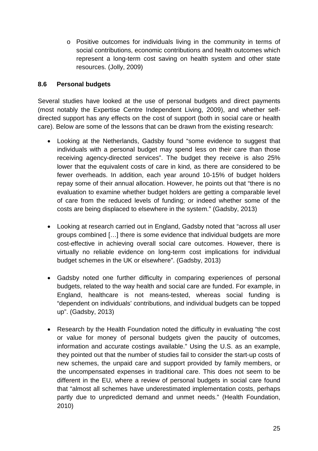o Positive outcomes for individuals living in the community in terms of social contributions, economic contributions and health outcomes which represent a long-term cost saving on health system and other state resources. (Jolly, 2009)

#### **8.6 Personal budgets**

Several studies have looked at the use of personal budgets and direct payments (most notably the Expertise Centre Independent Living, 2009), and whether selfdirected support has any effects on the cost of support (both in social care or health care). Below are some of the lessons that can be drawn from the existing research:

- Looking at the Netherlands, Gadsby found "some evidence to suggest that individuals with a personal budget may spend less on their care than those receiving agency-directed services". The budget they receive is also 25% lower that the equivalent costs of care in kind, as there are considered to be fewer overheads. In addition, each year around 10-15% of budget holders repay some of their annual allocation. However, he points out that "there is no evaluation to examine whether budget holders are getting a comparable level of care from the reduced levels of funding; or indeed whether some of the costs are being displaced to elsewhere in the system." (Gadsby, 2013)
- Looking at research carried out in England, Gadsby noted that "across all user groups combined […] there is some evidence that individual budgets are more cost-effective in achieving overall social care outcomes. However, there is virtually no reliable evidence on long-term cost implications for individual budget schemes in the UK or elsewhere". (Gadsby, 2013)
- Gadsby noted one further difficulty in comparing experiences of personal budgets, related to the way health and social care are funded. For example, in England, healthcare is not means-tested, whereas social funding is "dependent on individuals' contributions, and individual budgets can be topped up". (Gadsby, 2013)
- Research by the Health Foundation noted the difficulty in evaluating "the cost or value for money of personal budgets given the paucity of outcomes, information and accurate costings available." Using the U.S. as an example, they pointed out that the number of studies fail to consider the start-up costs of new schemes, the unpaid care and support provided by family members, or the uncompensated expenses in traditional care. This does not seem to be different in the EU, where a review of personal budgets in social care found that "almost all schemes have underestimated implementation costs, perhaps partly due to unpredicted demand and unmet needs." (Health Foundation, 2010)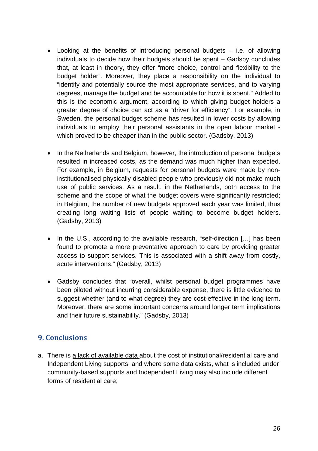- Looking at the benefits of introducing personal budgets i.e. of allowing individuals to decide how their budgets should be spent – Gadsby concludes that, at least in theory, they offer "more choice, control and flexibility to the budget holder". Moreover, they place a responsibility on the individual to "identify and potentially source the most appropriate services, and to varying degrees, manage the budget and be accountable for how it is spent." Added to this is the economic argument, according to which giving budget holders a greater degree of choice can act as a "driver for efficiency". For example, in Sweden, the personal budget scheme has resulted in lower costs by allowing individuals to employ their personal assistants in the open labour market which proved to be cheaper than in the public sector. (Gadsby, 2013)
- In the Netherlands and Belgium, however, the introduction of personal budgets resulted in increased costs, as the demand was much higher than expected. For example, in Belgium, requests for personal budgets were made by noninstitutionalised physically disabled people who previously did not make much use of public services. As a result, in the Netherlands, both access to the scheme and the scope of what the budget covers were significantly restricted; in Belgium, the number of new budgets approved each year was limited, thus creating long waiting lists of people waiting to become budget holders. (Gadsby, 2013)
- In the U.S., according to the available research, "self-direction [...] has been found to promote a more preventative approach to care by providing greater access to support services. This is associated with a shift away from costly, acute interventions." (Gadsby, 2013)
- Gadsby concludes that "overall, whilst personal budget programmes have been piloted without incurring considerable expense, there is little evidence to suggest whether (and to what degree) they are cost-effective in the long term. Moreover, there are some important concerns around longer term implications and their future sustainability." (Gadsby, 2013)

# **9. Conclusions**

a. There is a lack of available data about the cost of institutional/residential care and Independent Living supports, and where some data exists, what is included under community-based supports and Independent Living may also include different forms of residential care;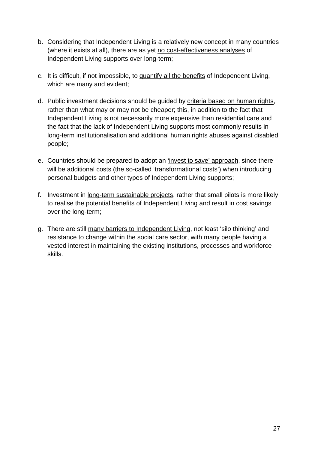- b. Considering that Independent Living is a relatively new concept in many countries (where it exists at all), there are as yet no cost-effectiveness analyses of Independent Living supports over long-term;
- c. It is difficult, if not impossible, to quantify all the benefits of Independent Living, which are many and evident;
- d. Public investment decisions should be guided by criteria based on human rights, rather than what may or may not be cheaper; this, in addition to the fact that Independent Living is not necessarily more expensive than residential care and the fact that the lack of Independent Living supports most commonly results in long-term institutionalisation and additional human rights abuses against disabled people;
- e. Countries should be prepared to adopt an 'invest to save' approach, since there will be additional costs (the so-called 'transformational costs') when introducing personal budgets and other types of Independent Living supports;
- f. Investment in long-term sustainable projects, rather that small pilots is more likely to realise the potential benefits of Independent Living and result in cost savings over the long-term;
- g. There are still many barriers to Independent Living, not least 'silo thinking' and resistance to change within the social care sector, with many people having a vested interest in maintaining the existing institutions, processes and workforce skills.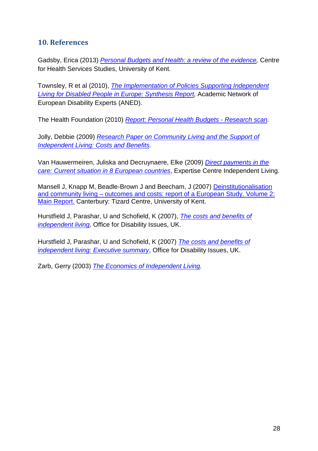# **10. References**

Gadsby, Erica (2013) *Personal Budgets and Health: a review of the evidence,* Centre for Health Services Studies, University of Kent.

Townsley, R et al (2010), *The Implementation of Policies Supporting Independent Living for Disabled People in Europe: Synthesis Report,* Academic Network of European Disability Experts (ANED).

The Health Foundation (2010) *Report: Personal Health Budgets - Research scan.*

Jolly, Debbie (2009) *Research Paper on Community Living and the Support of Independent Living: Costs and Benefits.*

Van Hauwermeiren, Juliska and Decruynaere, Elke (2009) *Direct payments in the care: Current situation in 8 European countries*, Expertise Centre Independent Living.

Mansell J, Knapp M, Beadle-Brown J and Beecham, J (2007) Deinstitutionalisation and community living – outcomes and costs: report of a European Study. Volume 2: Main Report. Canterbury: Tizard Centre, University of Kent.

Hurstfield J, Parashar, U and Schofield, K (2007), *The costs and benefits of independent living,* Office for Disability Issues, UK.

Hurstfield J, Parashar, U and Schofield, K (2007) *The costs and benefits of independent living: Executive summary*, Office for Disability Issues, UK.

Zarb, Gerry (2003) *The Economics of Independent Living.*